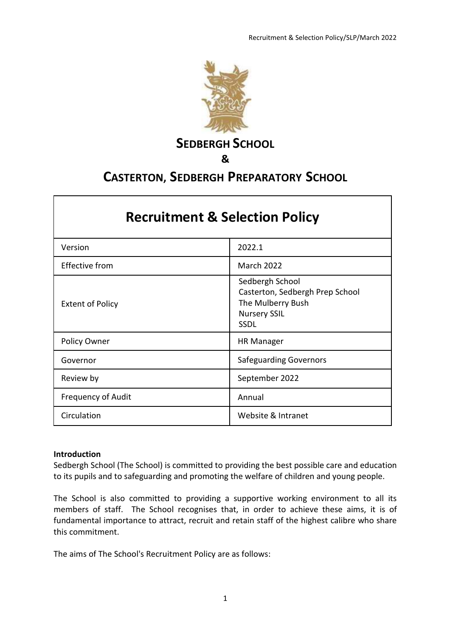

**SEDBERGH SCHOOL** 

**&** 

# **CASTERTON, SEDBERGH PREPARATORY SCHOOL**

| <b>Recruitment &amp; Selection Policy</b> |                                                                                                               |
|-------------------------------------------|---------------------------------------------------------------------------------------------------------------|
| Version                                   | 2022.1                                                                                                        |
| <b>Effective from</b>                     | <b>March 2022</b>                                                                                             |
| <b>Extent of Policy</b>                   | Sedbergh School<br>Casterton, Sedbergh Prep School<br>The Mulberry Bush<br><b>Nursery SSIL</b><br><b>SSDL</b> |
| Policy Owner                              | <b>HR Manager</b>                                                                                             |
| Governor                                  | <b>Safeguarding Governors</b>                                                                                 |
| Review by                                 | September 2022                                                                                                |
| <b>Frequency of Audit</b>                 | Annual                                                                                                        |
| Circulation                               | Website & Intranet                                                                                            |

### **Introduction**

Sedbergh School (The School) is committed to providing the best possible care and education to its pupils and to safeguarding and promoting the welfare of children and young people.

The School is also committed to providing a supportive working environment to all its members of staff. The School recognises that, in order to achieve these aims, it is of fundamental importance to attract, recruit and retain staff of the highest calibre who share this commitment.

The aims of The School's Recruitment Policy are as follows: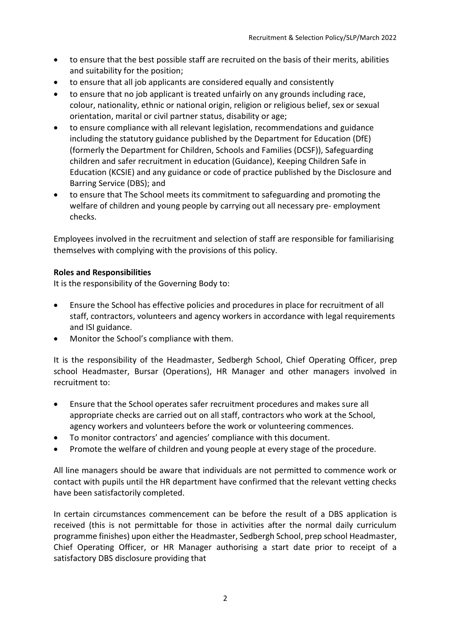- to ensure that the best possible staff are recruited on the basis of their merits, abilities and suitability for the position;
- to ensure that all job applicants are considered equally and consistently
- to ensure that no job applicant is treated unfairly on any grounds including race, colour, nationality, ethnic or national origin, religion or religious belief, sex or sexual orientation, marital or civil partner status, disability or age;
- to ensure compliance with all relevant legislation, recommendations and guidance including the statutory guidance published by the Department for Education (DfE) (formerly the Department for Children, Schools and Families (DCSF)), Safeguarding children and safer recruitment in education (Guidance), Keeping Children Safe in Education (KCSIE) and any guidance or code of practice published by the Disclosure and Barring Service (DBS); and
- to ensure that The School meets its commitment to safeguarding and promoting the welfare of children and young people by carrying out all necessary pre- employment checks.

Employees involved in the recruitment and selection of staff are responsible for familiarising themselves with complying with the provisions of this policy.

### **Roles and Responsibilities**

It is the responsibility of the Governing Body to:

- Ensure the School has effective policies and procedures in place for recruitment of all staff, contractors, volunteers and agency workers in accordance with legal requirements and ISI guidance.
- Monitor the School's compliance with them.

It is the responsibility of the Headmaster, Sedbergh School, Chief Operating Officer, prep school Headmaster, Bursar (Operations), HR Manager and other managers involved in recruitment to:

- Ensure that the School operates safer recruitment procedures and makes sure all appropriate checks are carried out on all staff, contractors who work at the School, agency workers and volunteers before the work or volunteering commences.
- To monitor contractors' and agencies' compliance with this document.
- Promote the welfare of children and young people at every stage of the procedure.

All line managers should be aware that individuals are not permitted to commence work or contact with pupils until the HR department have confirmed that the relevant vetting checks have been satisfactorily completed.

In certain circumstances commencement can be before the result of a DBS application is received (this is not permittable for those in activities after the normal daily curriculum programme finishes) upon either the Headmaster, Sedbergh School, prep school Headmaster, Chief Operating Officer, or HR Manager authorising a start date prior to receipt of a satisfactory DBS disclosure providing that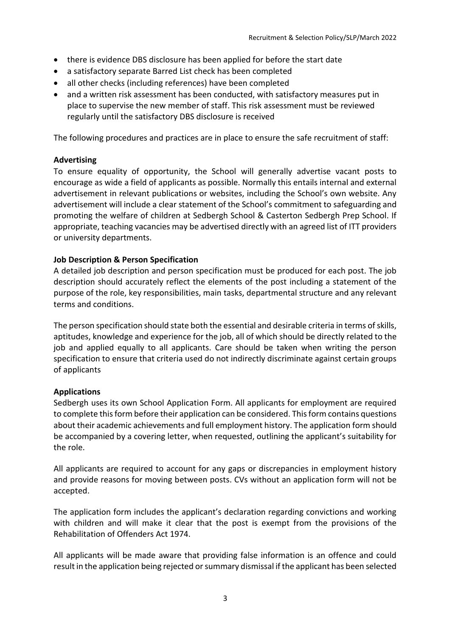- there is evidence DBS disclosure has been applied for before the start date
- a satisfactory separate Barred List check has been completed
- all other checks (including references) have been completed
- and a written risk assessment has been conducted, with satisfactory measures put in place to supervise the new member of staff. This risk assessment must be reviewed regularly until the satisfactory DBS disclosure is received

The following procedures and practices are in place to ensure the safe recruitment of staff:

### **Advertising**

To ensure equality of opportunity, the School will generally advertise vacant posts to encourage as wide a field of applicants as possible. Normally this entails internal and external advertisement in relevant publications or websites, including the School's own website. Any advertisement will include a clear statement of the School's commitment to safeguarding and promoting the welfare of children at Sedbergh School & Casterton Sedbergh Prep School. If appropriate, teaching vacancies may be advertised directly with an agreed list of ITT providers or university departments.

### **Job Description & Person Specification**

A detailed job description and person specification must be produced for each post. The job description should accurately reflect the elements of the post including a statement of the purpose of the role, key responsibilities, main tasks, departmental structure and any relevant terms and conditions.

The person specification should state both the essential and desirable criteria in terms of skills, aptitudes, knowledge and experience for the job, all of which should be directly related to the job and applied equally to all applicants. Care should be taken when writing the person specification to ensure that criteria used do not indirectly discriminate against certain groups of applicants

### **Applications**

Sedbergh uses its own School Application Form. All applicants for employment are required to complete this form before their application can be considered. This form contains questions about their academic achievements and full employment history. The application form should be accompanied by a covering letter, when requested, outlining the applicant's suitability for the role.

All applicants are required to account for any gaps or discrepancies in employment history and provide reasons for moving between posts. CVs without an application form will not be accepted.

The application form includes the applicant's declaration regarding convictions and working with children and will make it clear that the post is exempt from the provisions of the Rehabilitation of Offenders Act 1974.

All applicants will be made aware that providing false information is an offence and could result in the application being rejected or summary dismissal if the applicant has been selected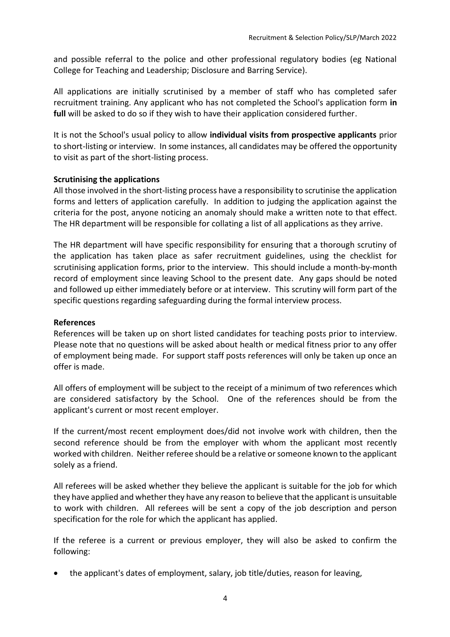and possible referral to the police and other professional regulatory bodies (eg National College for Teaching and Leadership; Disclosure and Barring Service).

All applications are initially scrutinised by a member of staff who has completed safer recruitment training. Any applicant who has not completed the School's application form **in full** will be asked to do so if they wish to have their application considered further.

It is not the School's usual policy to allow **individual visits from prospective applicants** prior to short-listing or interview. In some instances, all candidates may be offered the opportunity to visit as part of the short-listing process.

# **Scrutinising the applications**

All those involved in the short-listing process have a responsibility to scrutinise the application forms and letters of application carefully. In addition to judging the application against the criteria for the post, anyone noticing an anomaly should make a written note to that effect. The HR department will be responsible for collating a list of all applications as they arrive.

The HR department will have specific responsibility for ensuring that a thorough scrutiny of the application has taken place as safer recruitment guidelines, using the checklist for scrutinising application forms, prior to the interview. This should include a month-by-month record of employment since leaving School to the present date. Any gaps should be noted and followed up either immediately before or at interview. This scrutiny will form part of the specific questions regarding safeguarding during the formal interview process.

### **References**

References will be taken up on short listed candidates for teaching posts prior to interview. Please note that no questions will be asked about health or medical fitness prior to any offer of employment being made. For support staff posts references will only be taken up once an offer is made.

All offers of employment will be subject to the receipt of a minimum of two references which are considered satisfactory by the School. One of the references should be from the applicant's current or most recent employer.

If the current/most recent employment does/did not involve work with children, then the second reference should be from the employer with whom the applicant most recently worked with children. Neither referee should be a relative or someone known to the applicant solely as a friend.

All referees will be asked whether they believe the applicant is suitable for the job for which they have applied and whether they have any reason to believe that the applicant is unsuitable to work with children. All referees will be sent a copy of the job description and person specification for the role for which the applicant has applied.

If the referee is a current or previous employer, they will also be asked to confirm the following:

• the applicant's dates of employment, salary, job title/duties, reason for leaving,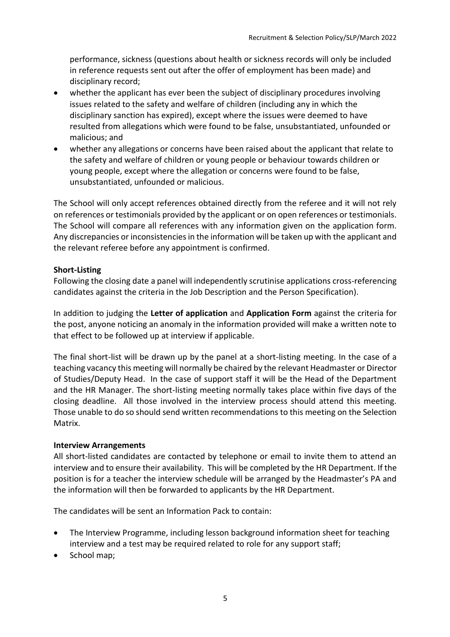performance, sickness (questions about health or sickness records will only be included in reference requests sent out after the offer of employment has been made) and disciplinary record;

- whether the applicant has ever been the subject of disciplinary procedures involving issues related to the safety and welfare of children (including any in which the disciplinary sanction has expired), except where the issues were deemed to have resulted from allegations which were found to be false, unsubstantiated, unfounded or malicious; and
- whether any allegations or concerns have been raised about the applicant that relate to the safety and welfare of children or young people or behaviour towards children or young people, except where the allegation or concerns were found to be false, unsubstantiated, unfounded or malicious.

The School will only accept references obtained directly from the referee and it will not rely on references or testimonials provided by the applicant or on open references or testimonials. The School will compare all references with any information given on the application form. Any discrepancies or inconsistencies in the information will be taken up with the applicant and the relevant referee before any appointment is confirmed.

# **Short-Listing**

Following the closing date a panel will independently scrutinise applications cross-referencing candidates against the criteria in the Job Description and the Person Specification).

In addition to judging the **Letter of application** and **Application Form** against the criteria for the post, anyone noticing an anomaly in the information provided will make a written note to that effect to be followed up at interview if applicable.

The final short-list will be drawn up by the panel at a short-listing meeting. In the case of a teaching vacancy this meeting will normally be chaired by the relevant Headmaster or Director of Studies/Deputy Head. In the case of support staff it will be the Head of the Department and the HR Manager. The short-listing meeting normally takes place within five days of the closing deadline. All those involved in the interview process should attend this meeting. Those unable to do so should send written recommendations to this meeting on the Selection Matrix.

### **Interview Arrangements**

All short-listed candidates are contacted by telephone or email to invite them to attend an interview and to ensure their availability. This will be completed by the HR Department. If the position is for a teacher the interview schedule will be arranged by the Headmaster's PA and the information will then be forwarded to applicants by the HR Department.

The candidates will be sent an Information Pack to contain:

- The Interview Programme, including lesson background information sheet for teaching interview and a test may be required related to role for any support staff;
- School map;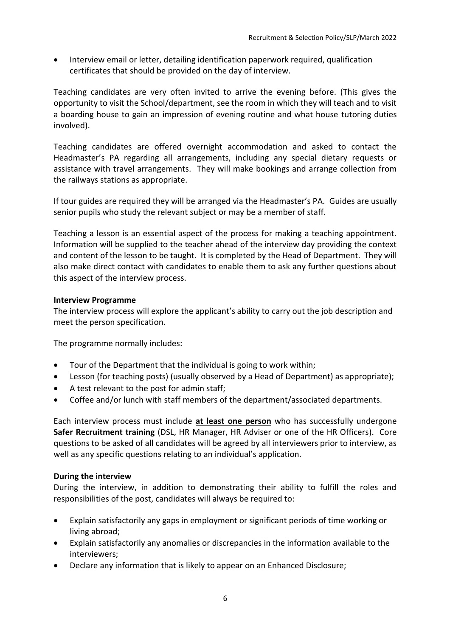• Interview email or letter, detailing identification paperwork required, qualification certificates that should be provided on the day of interview.

Teaching candidates are very often invited to arrive the evening before. (This gives the opportunity to visit the School/department, see the room in which they will teach and to visit a boarding house to gain an impression of evening routine and what house tutoring duties involved).

Teaching candidates are offered overnight accommodation and asked to contact the Headmaster's PA regarding all arrangements, including any special dietary requests or assistance with travel arrangements. They will make bookings and arrange collection from the railways stations as appropriate.

If tour guides are required they will be arranged via the Headmaster's PA. Guides are usually senior pupils who study the relevant subject or may be a member of staff.

Teaching a lesson is an essential aspect of the process for making a teaching appointment. Information will be supplied to the teacher ahead of the interview day providing the context and content of the lesson to be taught. It is completed by the Head of Department. They will also make direct contact with candidates to enable them to ask any further questions about this aspect of the interview process.

### **Interview Programme**

The interview process will explore the applicant's ability to carry out the job description and meet the person specification.

The programme normally includes:

- Tour of the Department that the individual is going to work within;
- Lesson (for teaching posts) (usually observed by a Head of Department) as appropriate);
- A test relevant to the post for admin staff;
- Coffee and/or lunch with staff members of the department/associated departments.

Each interview process must include **at least one person** who has successfully undergone **Safer Recruitment training** (DSL, HR Manager, HR Adviser or one of the HR Officers). Core questions to be asked of all candidates will be agreed by all interviewers prior to interview, as well as any specific questions relating to an individual's application.

# **During the interview**

During the interview, in addition to demonstrating their ability to fulfill the roles and responsibilities of the post, candidates will always be required to:

- Explain satisfactorily any gaps in employment or significant periods of time working or living abroad;
- Explain satisfactorily any anomalies or discrepancies in the information available to the interviewers;
- Declare any information that is likely to appear on an Enhanced Disclosure;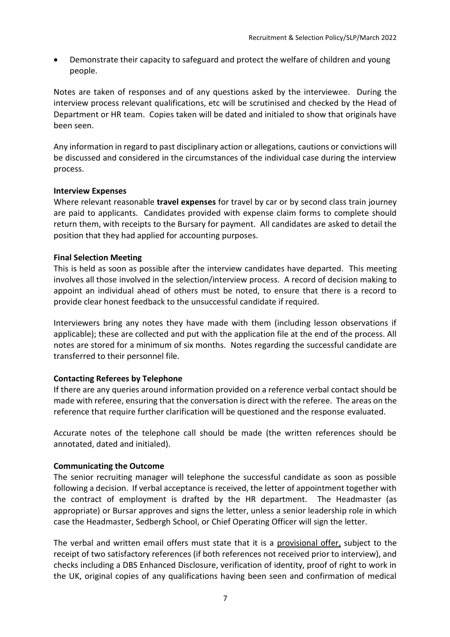• Demonstrate their capacity to safeguard and protect the welfare of children and young people.

Notes are taken of responses and of any questions asked by the interviewee. During the interview process relevant qualifications, etc will be scrutinised and checked by the Head of Department or HR team. Copies taken will be dated and initialed to show that originals have been seen.

Any information in regard to past disciplinary action or allegations, cautions or convictions will be discussed and considered in the circumstances of the individual case during the interview process.

### **Interview Expenses**

Where relevant reasonable **travel expenses** for travel by car or by second class train journey are paid to applicants. Candidates provided with expense claim forms to complete should return them, with receipts to the Bursary for payment. All candidates are asked to detail the position that they had applied for accounting purposes.

# **Final Selection Meeting**

This is held as soon as possible after the interview candidates have departed. This meeting involves all those involved in the selection/interview process. A record of decision making to appoint an individual ahead of others must be noted, to ensure that there is a record to provide clear honest feedback to the unsuccessful candidate if required.

Interviewers bring any notes they have made with them (including lesson observations if applicable); these are collected and put with the application file at the end of the process. All notes are stored for a minimum of six months. Notes regarding the successful candidate are transferred to their personnel file.

# **Contacting Referees by Telephone**

If there are any queries around information provided on a reference verbal contact should be made with referee, ensuring that the conversation is direct with the referee. The areas on the reference that require further clarification will be questioned and the response evaluated.

Accurate notes of the telephone call should be made (the written references should be annotated, dated and initialed).

### **Communicating the Outcome**

The senior recruiting manager will telephone the successful candidate as soon as possible following a decision. If verbal acceptance is received, the letter of appointment together with the contract of employment is drafted by the HR department. The Headmaster (as appropriate) or Bursar approves and signs the letter, unless a senior leadership role in which case the Headmaster, Sedbergh School, or Chief Operating Officer will sign the letter.

The verbal and written email offers must state that it is a provisional offer, subject to the receipt of two satisfactory references (if both references not received prior to interview), and checks including a DBS Enhanced Disclosure, verification of identity, proof of right to work in the UK, original copies of any qualifications having been seen and confirmation of medical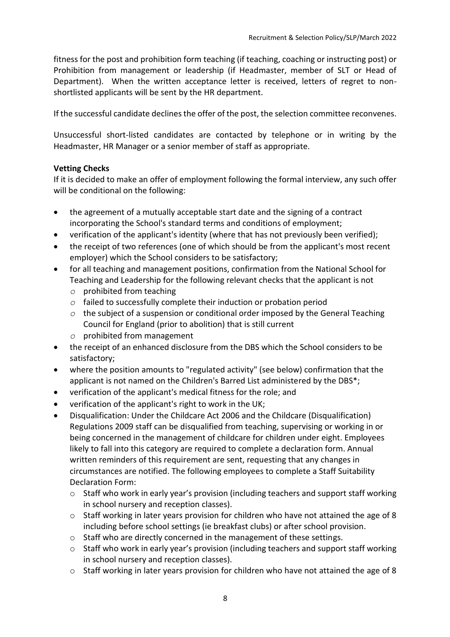fitness for the post and prohibition form teaching (if teaching, coaching or instructing post) or Prohibition from management or leadership (if Headmaster, member of SLT or Head of Department). When the written acceptance letter is received, letters of regret to nonshortlisted applicants will be sent by the HR department.

If the successful candidate declines the offer of the post, the selection committee reconvenes.

Unsuccessful short-listed candidates are contacted by telephone or in writing by the Headmaster, HR Manager or a senior member of staff as appropriate.

### **Vetting Checks**

If it is decided to make an offer of employment following the formal interview, any such offer will be conditional on the following:

- the agreement of a mutually acceptable start date and the signing of a contract incorporating the School's standard terms and conditions of employment;
- verification of the applicant's identity (where that has not previously been verified);
- the receipt of two references (one of which should be from the applicant's most recent employer) which the School considers to be satisfactory;
- for all teaching and management positions, confirmation from the National School for Teaching and Leadership for the following relevant checks that the applicant is not
	- *o* prohibited from teaching
	- *o* failed to successfully complete their induction or probation period
	- *o* the subject of a suspension or conditional order imposed by the General Teaching Council for England (prior to abolition) that is still current
	- *o* prohibited from management
- the receipt of an enhanced disclosure from the DBS which the School considers to be satisfactory;
- where the position amounts to "regulated activity" (see below) confirmation that the applicant is not named on the Children's Barred List administered by the DBS\*;
- verification of the applicant's medical fitness for the role; and
- verification of the applicant's right to work in the UK;
- Disqualification: Under the Childcare Act 2006 and the Childcare (Disqualification) Regulations 2009 staff can be disqualified from teaching, supervising or working in or being concerned in the management of childcare for children under eight. Employees likely to fall into this category are required to complete a declaration form. Annual written reminders of this requirement are sent, requesting that any changes in circumstances are notified. The following employees to complete a Staff Suitability Declaration Form:
	- o Staff who work in early year's provision (including teachers and support staff working in school nursery and reception classes).
	- $\circ$  Staff working in later years provision for children who have not attained the age of 8 including before school settings (ie breakfast clubs) or after school provision.
	- o Staff who are directly concerned in the management of these settings.
	- o Staff who work in early year's provision (including teachers and support staff working in school nursery and reception classes).
	- o Staff working in later years provision for children who have not attained the age of 8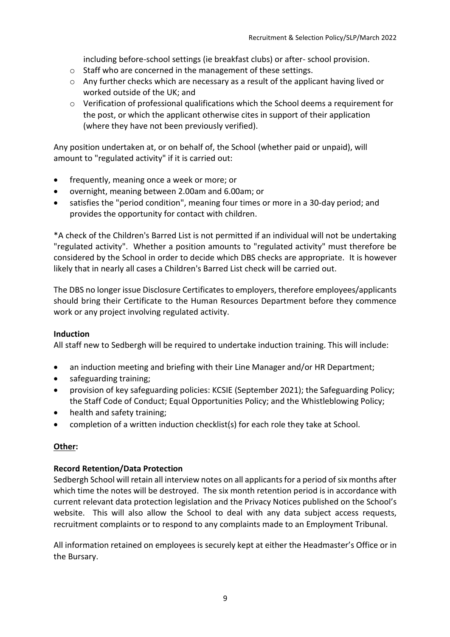including before-school settings (ie breakfast clubs) or after- school provision.

- o Staff who are concerned in the management of these settings.
- o Any further checks which are necessary as a result of the applicant having lived or worked outside of the UK; and
- $\circ$  Verification of professional qualifications which the School deems a requirement for the post, or which the applicant otherwise cites in support of their application (where they have not been previously verified).

Any position undertaken at, or on behalf of, the School (whether paid or unpaid), will amount to "regulated activity" if it is carried out:

- frequently, meaning once a week or more; or
- overnight, meaning between 2.00am and 6.00am; or
- satisfies the "period condition", meaning four times or more in a 30-day period; and provides the opportunity for contact with children.

\*A check of the Children's Barred List is not permitted if an individual will not be undertaking "regulated activity". Whether a position amounts to "regulated activity" must therefore be considered by the School in order to decide which DBS checks are appropriate. It is however likely that in nearly all cases a Children's Barred List check will be carried out.

The DBS no longer issue Disclosure Certificates to employers, therefore employees/applicants should bring their Certificate to the Human Resources Department before they commence work or any project involving regulated activity.

### **Induction**

All staff new to Sedbergh will be required to undertake induction training. This will include:

- an induction meeting and briefing with their Line Manager and/or HR Department;
- safeguarding training;
- provision of key safeguarding policies: KCSIE (September 2021); the Safeguarding Policy; the Staff Code of Conduct; Equal Opportunities Policy; and the Whistleblowing Policy;
- health and safety training;
- completion of a written induction checklist(s) for each role they take at School.

### **Other:**

#### **Record Retention/Data Protection**

Sedbergh School will retain all interview notes on all applicants for a period of six months after which time the notes will be destroyed. The six month retention period is in accordance with current relevant data protection legislation and the Privacy Notices published on the School's website. This will also allow the School to deal with any data subject access requests, recruitment complaints or to respond to any complaints made to an Employment Tribunal.

All information retained on employees is securely kept at either the Headmaster's Office or in the Bursary.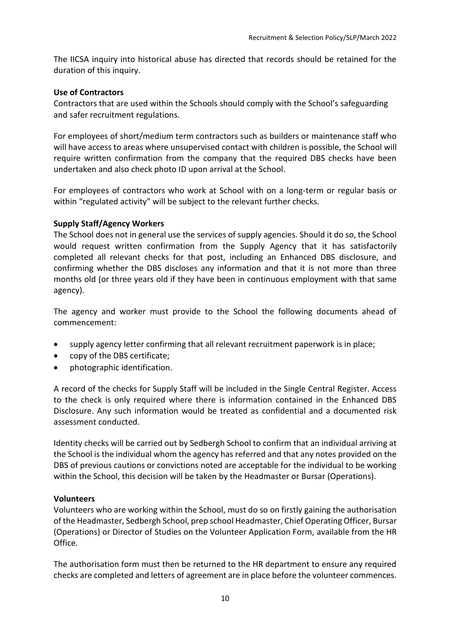The IICSA inquiry into historical abuse has directed that records should be retained for the duration of this inquiry.

### **Use of Contractors**

Contractors that are used within the Schools should comply with the School's safeguarding and safer recruitment regulations.

For employees of short/medium term contractors such as builders or maintenance staff who will have access to areas where unsupervised contact with children is possible, the School will require written confirmation from the company that the required DBS checks have been undertaken and also check photo ID upon arrival at the School.

For employees of contractors who work at School with on a long-term or regular basis or within "regulated activity" will be subject to the relevant further checks.

### **Supply Staff/Agency Workers**

The School does not in general use the services of supply agencies. Should it do so, the School would request written confirmation from the Supply Agency that it has satisfactorily completed all relevant checks for that post, including an Enhanced DBS disclosure, and confirming whether the DBS discloses any information and that it is not more than three months old (or three years old if they have been in continuous employment with that same agency).

The agency and worker must provide to the School the following documents ahead of commencement:

- supply agency letter confirming that all relevant recruitment paperwork is in place;
- copy of the DBS certificate;
- photographic identification.

A record of the checks for Supply Staff will be included in the Single Central Register. Access to the check is only required where there is information contained in the Enhanced DBS Disclosure. Any such information would be treated as confidential and a documented risk assessment conducted.

Identity checks will be carried out by Sedbergh School to confirm that an individual arriving at the School is the individual whom the agency has referred and that any notes provided on the DBS of previous cautions or convictions noted are acceptable for the individual to be working within the School, this decision will be taken by the Headmaster or Bursar (Operations).

#### **Volunteers**

Volunteers who are working within the School, must do so on firstly gaining the authorisation of the Headmaster, Sedbergh School, prep school Headmaster, Chief Operating Officer, Bursar (Operations) or Director of Studies on the Volunteer Application Form, available from the HR Office.

The authorisation form must then be returned to the HR department to ensure any required checks are completed and letters of agreement are in place before the volunteer commences.